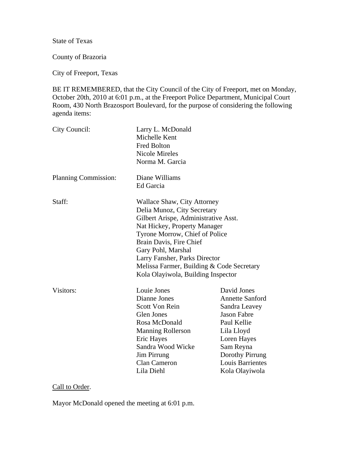State of Texas

County of Brazoria

City of Freeport, Texas

BE IT REMEMBERED, that the City Council of the City of Freeport, met on Monday, October 20th, 2010 at 6:01 p.m., at the Freeport Police Department, Municipal Court Room, 430 North Brazosport Boulevard, for the purpose of considering the following agenda items:

| City Council:        | Larry L. McDonald<br>Michelle Kent<br><b>Fred Bolton</b><br><b>Nicole Mireles</b><br>Norma M. Garcia                                                                                                                                                                                                                                      |                                                                                                                                                                                                       |
|----------------------|-------------------------------------------------------------------------------------------------------------------------------------------------------------------------------------------------------------------------------------------------------------------------------------------------------------------------------------------|-------------------------------------------------------------------------------------------------------------------------------------------------------------------------------------------------------|
| Planning Commission: | Diane Williams<br>Ed Garcia                                                                                                                                                                                                                                                                                                               |                                                                                                                                                                                                       |
| Staff:               | Wallace Shaw, City Attorney<br>Delia Munoz, City Secretary<br>Gilbert Arispe, Administrative Asst.<br>Nat Hickey, Property Manager<br>Tyrone Morrow, Chief of Police<br>Brain Davis, Fire Chief<br>Gary Pohl, Marshal<br>Larry Fansher, Parks Director<br>Melissa Farmer, Building & Code Secretary<br>Kola Olayiwola, Building Inspector |                                                                                                                                                                                                       |
| Visitors:            | Louie Jones<br>Dianne Jones<br><b>Scott Von Rein</b><br><b>Glen Jones</b><br>Rosa McDonald<br><b>Manning Rollerson</b><br><b>Eric Hayes</b><br>Sandra Wood Wicke<br>Jim Pirrung<br><b>Clan Cameron</b><br>Lila Diehl                                                                                                                      | David Jones<br><b>Annette Sanford</b><br>Sandra Leavey<br><b>Jason Fabre</b><br>Paul Kellie<br>Lila Lloyd<br>Loren Hayes<br>Sam Reyna<br>Dorothy Pirrung<br><b>Louis Barrientes</b><br>Kola Olayiwola |

# Call to Order.

Mayor McDonald opened the meeting at 6:01 p.m.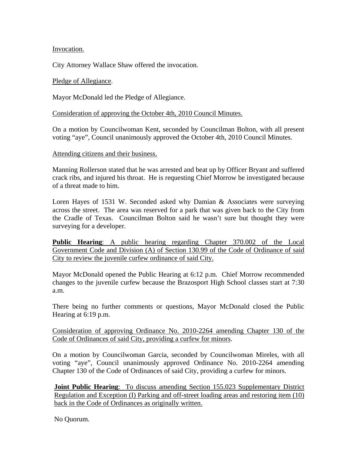Invocation.

City Attorney Wallace Shaw offered the invocation.

### Pledge of Allegiance.

Mayor McDonald led the Pledge of Allegiance.

Consideration of approving the October 4th, 2010 Council Minutes.

On a motion by Councilwoman Kent, seconded by Councilman Bolton, with all present voting "aye", Council unanimously approved the October 4th, 2010 Council Minutes.

### Attending citizens and their business.

Manning Rollerson stated that he was arrested and beat up by Officer Bryant and suffered crack ribs, and injured his throat. He is requesting Chief Morrow be investigated because of a threat made to him.

Loren Hayes of 1531 W. Seconded asked why Damian & Associates were surveying across the street. The area was reserved for a park that was given back to the City from the Cradle of Texas. Councilman Bolton said he wasn't sure but thought they were surveying for a developer.

**Public Hearing**: A public hearing regarding Chapter 370.002 of the Local Government Code and Division (A) of Section 130.99 of the Code of Ordinance of said City to review the juvenile curfew ordinance of said City.

Mayor McDonald opened the Public Hearing at 6:12 p.m. Chief Morrow recommended changes to the juvenile curfew because the Brazosport High School classes start at 7:30 a.m.

There being no further comments or questions, Mayor McDonald closed the Public Hearing at 6:19 p.m.

Consideration of approving Ordinance No. 2010-2264 amending Chapter 130 of the Code of Ordinances of said City, providing a curfew for minors.

On a motion by Councilwoman Garcia, seconded by Councilwoman Mireles, with all voting "aye", Council unanimously approved Ordinance No. 2010-2264 amending Chapter 130 of the Code of Ordinances of said City, providing a curfew for minors.

**Joint Public Hearing:** To discuss amending Section 155.023 Supplementary District Regulation and Exception (I) Parking and off-street loading areas and restoring item (10) back in the Code of Ordinances as originally written.

No Quorum.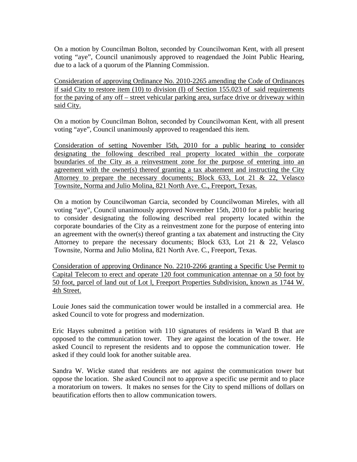On a motion by Councilman Bolton, seconded by Councilwoman Kent, with all present voting "aye", Council unanimously approved to reagendaed the Joint Public Hearing, due to a lack of a quorum of the Planning Commission.

Consideration of approving Ordinance No. 2010-2265 amending the Code of Ordinances if said City to restore item (10) to division (I) of Section 155.023 of said requirements for the paving of any off – street vehicular parking area, surface drive or driveway within said City.

On a motion by Councilman Bolton, seconded by Councilwoman Kent, with all present voting "aye", Council unanimously approved to reagendaed this item.

Consideration of setting November l5th, 2010 for a public hearing to consider designating the following described real property located within the corporate boundaries of the City as a reinvestment zone for the purpose of entering into an agreement with the owner(s) thereof granting a tax abatement and instructing the City Attorney to prepare the necessary documents; Block 633, Lot 21 & 22, Velasco Townsite, Norma and Julio Molina, 821 North Ave. C., Freeport, Texas.

On a motion by Councilwoman Garcia, seconded by Councilwoman Mireles, with all voting "aye", Council unanimously approved November 15th, 2010 for a public hearing to consider designating the following described real property located within the corporate boundaries of the City as a reinvestment zone for the purpose of entering into an agreement with the owner(s) thereof granting a tax abatement and instructing the City Attorney to prepare the necessary documents; Block 633, Lot 21 & 22, Velasco Townsite, Norma and Julio Molina, 821 North Ave. C., Freeport, Texas.

Consideration of approving Ordinance No. 2210-2266 granting a Specific Use Permit to Capital Telecom to erect and operate 120 foot communication antennae on a 50 foot by 50 foot, parcel of land out of Lot l, Freeport Properties Subdivision, known as 1744 W. 4th Street.

Louie Jones said the communication tower would be installed in a commercial area. He asked Council to vote for progress and modernization.

Eric Hayes submitted a petition with 110 signatures of residents in Ward B that are opposed to the communication tower. They are against the location of the tower. He asked Council to represent the residents and to oppose the communication tower. He asked if they could look for another suitable area.

Sandra W. Wicke stated that residents are not against the communication tower but oppose the location. She asked Council not to approve a specific use permit and to place a moratorium on towers. It makes no senses for the City to spend millions of dollars on beautification efforts then to allow communication towers.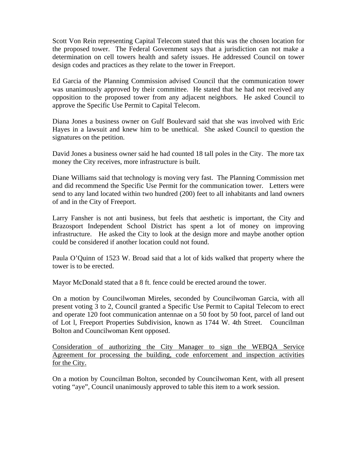Scott Von Rein representing Capital Telecom stated that this was the chosen location for the proposed tower. The Federal Government says that a jurisdiction can not make a determination on cell towers health and safety issues. He addressed Council on tower design codes and practices as they relate to the tower in Freeport.

Ed Garcia of the Planning Commission advised Council that the communication tower was unanimously approved by their committee. He stated that he had not received any opposition to the proposed tower from any adjacent neighbors. He asked Council to approve the Specific Use Permit to Capital Telecom.

Diana Jones a business owner on Gulf Boulevard said that she was involved with Eric Hayes in a lawsuit and knew him to be unethical. She asked Council to question the signatures on the petition.

David Jones a business owner said he had counted 18 tall poles in the City. The more tax money the City receives, more infrastructure is built.

Diane Williams said that technology is moving very fast. The Planning Commission met and did recommend the Specific Use Permit for the communication tower. Letters were send to any land located within two hundred (200) feet to all inhabitants and land owners of and in the City of Freeport.

Larry Fansher is not anti business, but feels that aesthetic is important, the City and Brazosport Independent School District has spent a lot of money on improving infrastructure. He asked the City to look at the design more and maybe another option could be considered if another location could not found.

Paula O'Quinn of 1523 W. Broad said that a lot of kids walked that property where the tower is to be erected.

Mayor McDonald stated that a 8 ft. fence could be erected around the tower.

On a motion by Councilwoman Mireles, seconded by Councilwoman Garcia, with all present voting 3 to 2, Council granted a Specific Use Permit to Capital Telecom to erect and operate 120 foot communication antennae on a 50 foot by 50 foot, parcel of land out of Lot l, Freeport Properties Subdivision, known as 1744 W. 4th Street. Councilman Bolton and Councilwoman Kent opposed.

Consideration of authorizing the City Manager to sign the WEBQA Service Agreement for processing the building, code enforcement and inspection activities for the City.

On a motion by Councilman Bolton, seconded by Councilwoman Kent, with all present voting "aye", Council unanimously approved to table this item to a work session.